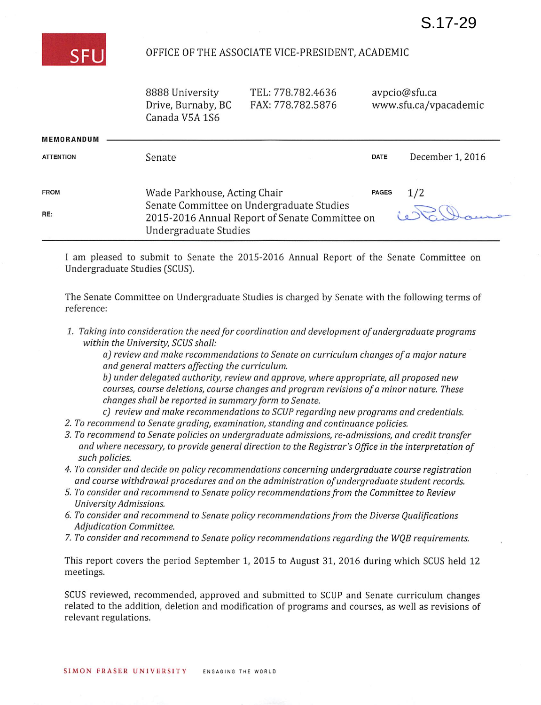

## OFFICE OF THE ASSOCIATE VICE-PRESIDENT, ACADEMIC

8888 University Drive, Burnaby, BC Canada V5A 1S6

TEL: 778.782.4636 FAX: 778.782.5876 avpcio@sfu.ca www.sfu.ca/vpacademic

| <b>MEMORANDUM</b> |                                                                                                                      |              |                  |
|-------------------|----------------------------------------------------------------------------------------------------------------------|--------------|------------------|
| <b>ATTENTION</b>  | Senate                                                                                                               | <b>DATE</b>  | December 1, 2016 |
|                   |                                                                                                                      |              |                  |
| <b>FROM</b>       | Wade Parkhouse, Acting Chair                                                                                         | <b>PAGES</b> | 1/2              |
| RE:               | Senate Committee on Undergraduate Studies<br>2015-2016 Annual Report of Senate Committee on<br>Undergraduate Studies |              |                  |

I am pleased to submit to Senate the 2015-2016 Annual Report of the Senate Committee on Undergraduate Studies (SCUS).

The Senate Committee on Undergraduate Studies is charged by Senate with the following terms of reference:

1. Taking into consideration the need for coordination and development of undergraduate programs within the University, SCUS shall:

a) review and make recommendations to Senate on curriculum changes of a major nature and general matters affecting the curriculum.

b) under delegated authority, review and approve, where appropriate, all proposed new courses, course deletions, course changes and program revisions of a minor nature. These changes shall be reported in summary form to Senate.

- c) review and make recommendations to SCUP regarding new programs and credentials.
- 2. To recommend to Senate grading, examination, standing and continuance policies.
- 3. To recommend to Senate policies on undergraduate admissions, re-admissions, and credit transfer and where necessary, to provide general direction to the Registrar's Office in the interpretation of such policies.
- 4. To consider and decide on policy recommendations concerning undergraduate course registration and course withdrawal procedures and on the administration of undergraduate student records.
- 5. To consider and recommend to Senate policy recommendations from the Committee to Review University Admissions.
- 6. To consider and recommend to Senate policy recommendations from the Diverse Qualifications Adjudication Committee.
- 7. To consider and recommend to Senate policy recommendations regarding the WQB requirements.

This report covers the period September 1, 2015 to August 31, 2016 during which SCUS held 12 meetings.

SCUS reviewed, recommended, approved and submitted to SCUP and Senate curriculum changes related to the addition, deletion and modification of programs and courses, as well as revisions of relevant regulations.